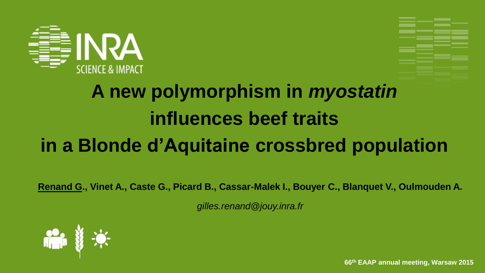



## **A new polymorphism in** *myostatin* **influences beef traits in a Blonde d'Aquitaine crossbred population**

**Renand G., Vinet A., Caste G., Picard B., Cassar-Malek I., Bouyer C., Blanquet V., Oulmouden A.**

*gilles.renand@jouy.inra.fr*



**66th EAAP annual meeting, Warsaw 2015**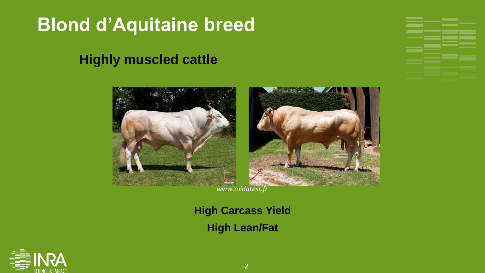### **Blond d'Aquitaine breed**

#### **Highly muscled cattle**



*www.midatest.fr*

#### **High Carcass Yield High Lean/Fat**

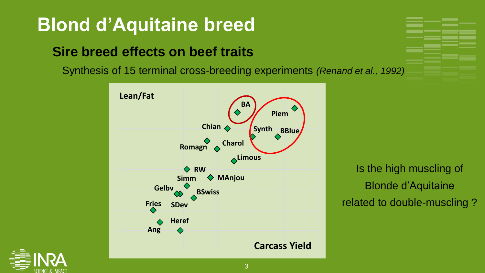### **Blond d'Aquitaine breed**

#### **Sire breed effects on beef traits**

Synthesis of 15 terminal cross-breeding experiments *(Renand et al., 1992)*



Is the high muscling of Blonde d'Aquitaine related to double-muscling ?

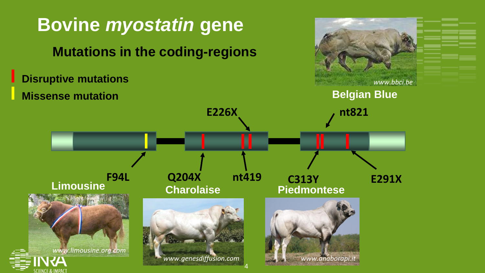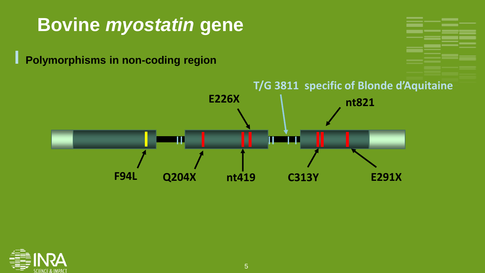#### **Bovine** *myostatin* **gene**

**I Polymorphisms in non-coding region**



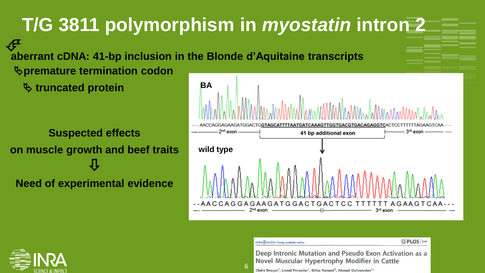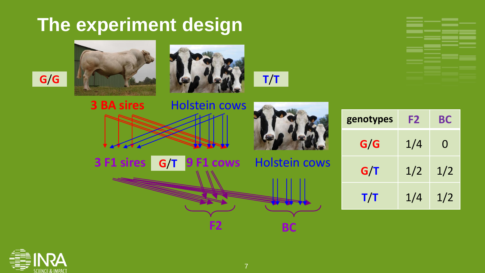### **The experiment design**





**3 F1 sires 9 F1 cows** Holstein cows **G**/**T**







| genotypes | F <sub>2</sub> | BС  |
|-----------|----------------|-----|
| G/G       | 1/4            | 0   |
| G/T       | 1/2            | 1/2 |
| T/T       | 1/4            | 1/2 |







**F2 BC**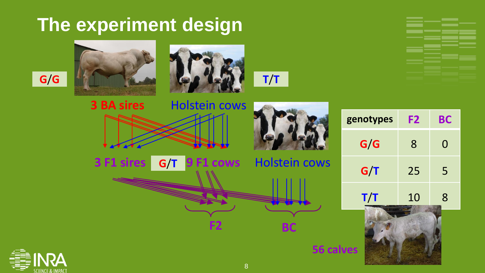### **The experiment design**





**3 F1 sires 9 F1 cows** Holstein cows **G**/**T**







**56 calves**

| genotypes | F2 | BС |
|-----------|----|----|
| G/G       | 8  | 0  |
| G/T       | 25 | 5  |
| T/T       | 10 | 8  |





8

**F2 BC**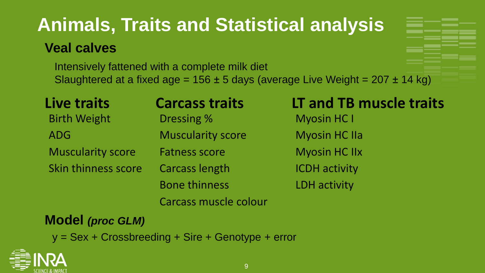# **Animals, Traits and Statistical analysis**

#### **Veal calves**

Intensively fattened with a complete milk diet Slaughtered at a fixed age =  $156 \pm 5$  days (average Live Weight =  $207 \pm 14$  kg)

| Live traits              | <b>Carcass traits</b>    | LT and TB muscle traits |
|--------------------------|--------------------------|-------------------------|
| <b>Birth Weight</b>      | Dressing %               | <b>Myosin HC I</b>      |
| <b>ADG</b>               | <b>Muscularity score</b> | <b>Myosin HC IIa</b>    |
| <b>Muscularity score</b> | <b>Fatness score</b>     | <b>Myosin HC IIx</b>    |
| Skin thinness score      | <b>Carcass length</b>    | <b>ICDH</b> activity    |
|                          | <b>Bone thinness</b>     | <b>LDH</b> activity     |
|                          | Carcass muscle colour    |                         |

#### **Model** *(proc GLM)*

y = Sex + Crossbreeding + Sire + Genotype + error

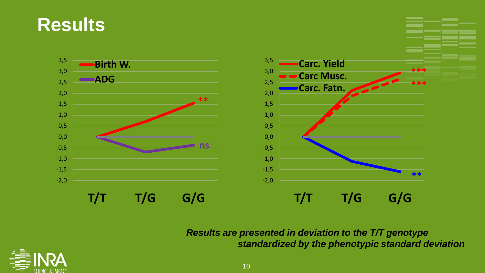



*Results are presented in deviation to the T/T genotype standardized by the phenotypic standard deviation* 

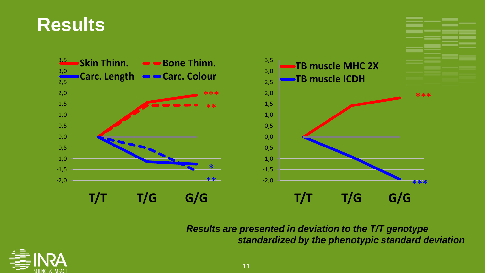#### **Results**



*Results are presented in deviation to the T/T genotype standardized by the phenotypic standard deviation* 

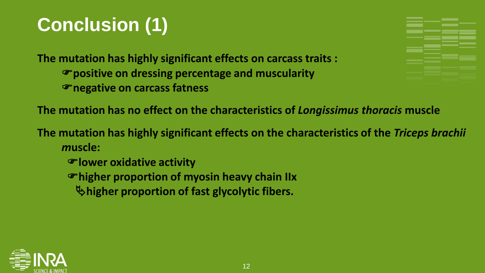### **Conclusion (1)**

**The mutation has highly significant effects on carcass traits : positive on dressing percentage and muscularity negative on carcass fatness**



**The mutation has no effect on the characteristics of** *Longissimus thoracis* **muscle** 

**The mutation has highly significant effects on the characteristics of the** *Triceps brachii m***uscle:** 

- **lower oxidative activity**
- **higher proportion of myosin heavy chain IIx**
	- **higher proportion of fast glycolytic fibers.**